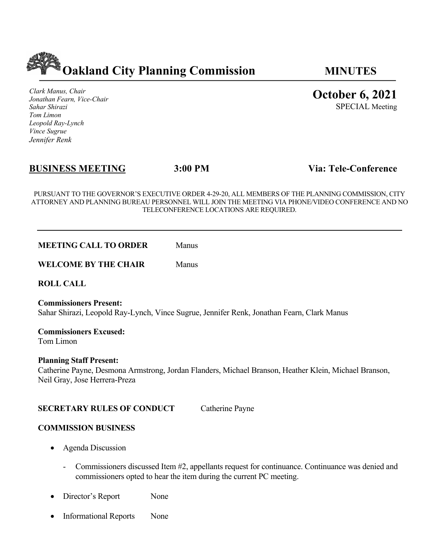

*Clark Manus, Chair Jonathan Fearn, Vice-Chair Sahar Shirazi Tom Limon Leopold Ray-Lynch Vince Sugrue Jennifer Renk*

# **BUSINESS MEETING 3:00 PM Via: Tele-Conference**

PURSUANT TO THE GOVERNOR'S EXECUTIVE ORDER 4-29-20, ALL MEMBERS OF THE PLANNING COMMISSION, CITY ATTORNEY AND PLANNING BUREAU PERSONNEL WILL JOIN THE MEETING VIA PHONE/VIDEO CONFERENCE AND NO TELECONFERENCE LOCATIONS ARE REQUIRED.

**MEETING CALL TO ORDER** Manus

**WELCOME BY THE CHAIR** Manus

**ROLL CALL**

**Commissioners Present:** Sahar Shirazi, Leopold Ray-Lynch, Vince Sugrue, Jennifer Renk, Jonathan Fearn, Clark Manus

**Commissioners Excused:** Tom Limon

## **Planning Staff Present:**

Catherine Payne, Desmona Armstrong, Jordan Flanders, Michael Branson, Heather Klein, Michael Branson, Neil Gray, Jose Herrera-Preza

## **SECRETARY RULES OF CONDUCT** Catherine Payne

#### **COMMISSION BUSINESS**

- Agenda Discussion
	- Commissioners discussed Item #2, appellants request for continuance. Continuance was denied and commissioners opted to hear the item during the current PC meeting.
- Director's Report None
- Informational Reports None

**October 6, 2021**

SPECIAL Meeting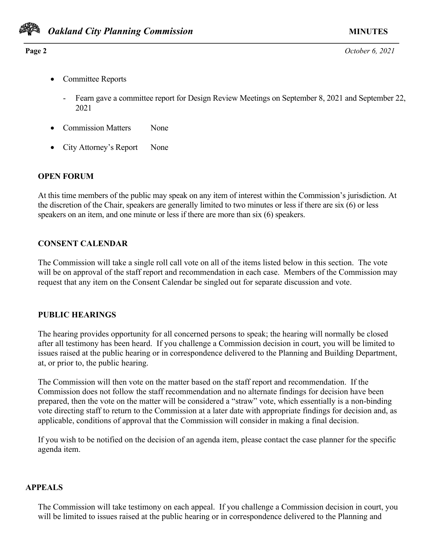

**Page 2** *October 6, 2021*

- Committee Reports
	- Fearn gave a committee report for Design Review Meetings on September 8, 2021 and September 22, 2021
- Commission Matters None
- City Attorney's Report None

## **OPEN FORUM**

At this time members of the public may speak on any item of interest within the Commission's jurisdiction. At the discretion of the Chair, speakers are generally limited to two minutes or less if there are six (6) or less speakers on an item, and one minute or less if there are more than six (6) speakers.

## **CONSENT CALENDAR**

The Commission will take a single roll call vote on all of the items listed below in this section. The vote will be on approval of the staff report and recommendation in each case. Members of the Commission may request that any item on the Consent Calendar be singled out for separate discussion and vote.

## **PUBLIC HEARINGS**

The hearing provides opportunity for all concerned persons to speak; the hearing will normally be closed after all testimony has been heard. If you challenge a Commission decision in court, you will be limited to issues raised at the public hearing or in correspondence delivered to the Planning and Building Department, at, or prior to, the public hearing.

The Commission will then vote on the matter based on the staff report and recommendation. If the Commission does not follow the staff recommendation and no alternate findings for decision have been prepared, then the vote on the matter will be considered a "straw" vote, which essentially is a non-binding vote directing staff to return to the Commission at a later date with appropriate findings for decision and, as applicable, conditions of approval that the Commission will consider in making a final decision.

If you wish to be notified on the decision of an agenda item, please contact the case planner for the specific agenda item.

## **APPEALS**

The Commission will take testimony on each appeal. If you challenge a Commission decision in court, you will be limited to issues raised at the public hearing or in correspondence delivered to the Planning and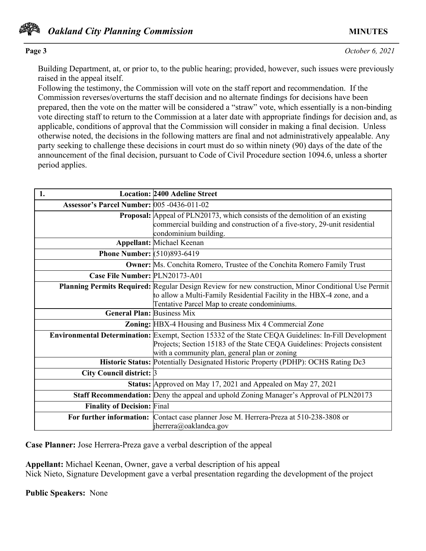

# **Page 3** *October 6, 2021*

Building Department, at, or prior to, to the public hearing; provided, however, such issues were previously raised in the appeal itself.

Following the testimony, the Commission will vote on the staff report and recommendation. If the Commission reverses/overturns the staff decision and no alternate findings for decisions have been prepared, then the vote on the matter will be considered a "straw" vote, which essentially is a non-binding vote directing staff to return to the Commission at a later date with appropriate findings for decision and, as applicable, conditions of approval that the Commission will consider in making a final decision. Unless otherwise noted, the decisions in the following matters are final and not administratively appealable. Any party seeking to challenge these decisions in court must do so within ninety (90) days of the date of the announcement of the final decision, pursuant to Code of Civil Procedure section 1094.6, unless a shorter period applies.

| 1.                                         | <b>Location: 2400 Adeline Street</b>                                                                 |
|--------------------------------------------|------------------------------------------------------------------------------------------------------|
| Assessor's Parcel Number: 005 -0436-011-02 |                                                                                                      |
|                                            | <b>Proposal:</b> Appeal of PLN20173, which consists of the demolition of an existing                 |
|                                            | commercial building and construction of a five-story, 29-unit residential                            |
|                                            | condominium building.                                                                                |
|                                            | <b>Appellant: Michael Keenan</b>                                                                     |
| <b>Phone Number: (510)893-6419</b>         |                                                                                                      |
|                                            | <b>Owner:</b> Ms. Conchita Romero, Trustee of the Conchita Romero Family Trust                       |
| Case File Number: PLN20173-A01             |                                                                                                      |
|                                            | Planning Permits Required: Regular Design Review for new construction, Minor Conditional Use Permit  |
|                                            | to allow a Multi-Family Residential Facility in the HBX-4 zone, and a                                |
|                                            | Tentative Parcel Map to create condominiums.                                                         |
| <b>General Plan: Business Mix</b>          |                                                                                                      |
|                                            | Zoning: HBX-4 Housing and Business Mix 4 Commercial Zone                                             |
|                                            | Environmental Determination: Exempt, Section 15332 of the State CEQA Guidelines: In-Fill Development |
|                                            | Projects; Section 15183 of the State CEQA Guidelines: Projects consistent                            |
|                                            | with a community plan, general plan or zoning                                                        |
|                                            | Historic Status: Potentially Designated Historic Property (PDHP): OCHS Rating Dc3                    |
| City Council district: 3                   |                                                                                                      |
|                                            | Status: Approved on May 17, 2021 and Appealed on May 27, 2021                                        |
|                                            | <b>Staff Recommendation:</b> Deny the appeal and uphold Zoning Manager's Approval of PLN20173        |
| <b>Finality of Decision: Final</b>         |                                                                                                      |
|                                            | For further information: Contact case planner Jose M. Herrera-Preza at 510-238-3808 or               |
|                                            | jherrera@oaklandca.gov                                                                               |

**Case Planner:** Jose Herrera-Preza gave a verbal description of the appeal

**Appellant:** Michael Keenan, Owner, gave a verbal description of his appeal Nick Nieto, Signature Development gave a verbal presentation regarding the development of the project

**Public Speakers:** None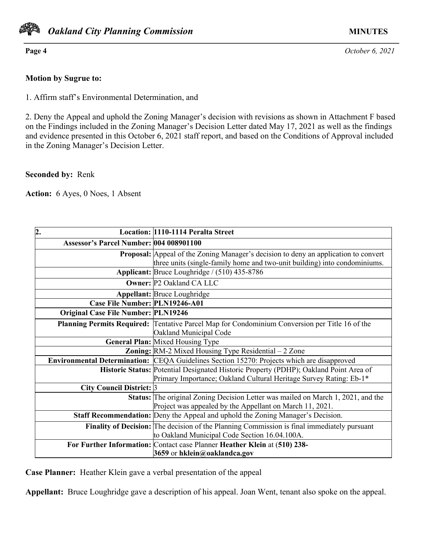

**Page 4** *October 6, 2021*

## **Motion by Sugrue to:**

1. Affirm staff's Environmental Determination, and

2. Deny the Appeal and uphold the Zoning Manager's decision with revisions as shown in Attachment F based on the Findings included in the Zoning Manager's Decision Letter dated May 17, 2021 as well as the findings and evidence presented in this October 6, 2021 staff report, and based on the Conditions of Approval included in the Zoning Manager's Decision Letter.

## **Seconded by:** Renk

**Action:** 6 Ayes, 0 Noes, 1 Absent

| $\overline{2}$ .                               | Location: 1110-1114 Peralta Street                                                                    |
|------------------------------------------------|-------------------------------------------------------------------------------------------------------|
| <b>Assessor's Parcel Number: 004 008901100</b> |                                                                                                       |
|                                                | Proposal: Appeal of the Zoning Manager's decision to deny an application to convert                   |
|                                                | three units (single-family home and two-unit building) into condominiums.                             |
|                                                | Applicant: Bruce Loughridge / (510) 435-8786                                                          |
|                                                | <b>Owner: P2 Oakland CA LLC</b>                                                                       |
|                                                | <b>Appellant: Bruce Loughridge</b>                                                                    |
| Case File Number: PLN19246-A01                 |                                                                                                       |
| <b>Original Case File Number: PLN19246</b>     |                                                                                                       |
|                                                | <b>Planning Permits Required:</b> Tentative Parcel Map for Condominium Conversion per Title 16 of the |
|                                                | Oakland Municipal Code                                                                                |
|                                                | <b>General Plan: Mixed Housing Type</b>                                                               |
|                                                | <b>Zoning:</b> $RM-2$ Mixed Housing Type Residential $-2$ Zone                                        |
|                                                | Environmental Determination: CEQA Guidelines Section 15270: Projects which are disapproved            |
|                                                | Historic Status: Potential Designated Historic Property (PDHP); Oakland Point Area of                 |
|                                                | Primary Importance; Oakland Cultural Heritage Survey Rating: Eb-1*                                    |
| City Council District: 3                       |                                                                                                       |
|                                                | Status: The original Zoning Decision Letter was mailed on March 1, 2021, and the                      |
|                                                | Project was appealed by the Appellant on March 11, 2021.                                              |
|                                                | Staff Recommendation: Deny the Appeal and uphold the Zoning Manager's Decision.                       |
|                                                | Finality of Decision: The decision of the Planning Commission is final immediately pursuant           |
|                                                | to Oakland Municipal Code Section 16.04.100A.                                                         |
|                                                | For Further Information: Contact case Planner Heather Klein at (510) 238-                             |
|                                                | 3659 or hklein@oaklandca.gov                                                                          |

**Case Planner:** Heather Klein gave a verbal presentation of the appeal

**Appellant:** Bruce Loughridge gave a description of his appeal. Joan Went, tenant also spoke on the appeal.